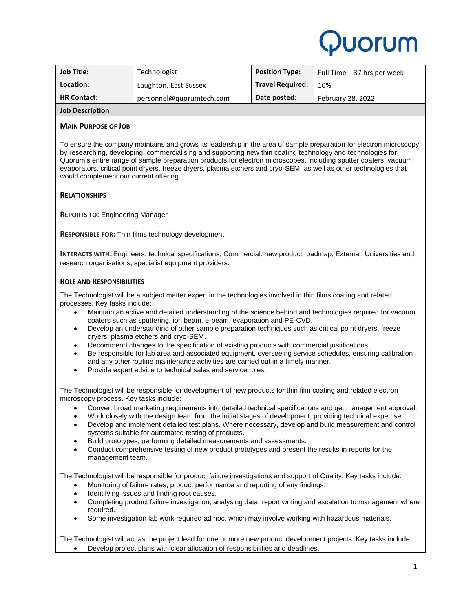# Puorum

| <b>Job Title:</b>      | Technologist             | <b>Position Type:</b>   | Full Time – 37 hrs per week |
|------------------------|--------------------------|-------------------------|-----------------------------|
| Location:              | Laughton, East Sussex    | <b>Travel Required:</b> | 10%                         |
| <b>HR Contact:</b>     | personnel@guorumtech.com | Date posted:            | February 28, 2022           |
| <b>Job Description</b> |                          |                         |                             |

## **MAIN PURPOSE OF JOB**

To ensure the company maintains and grows its leadership in the area of sample preparation for electron microscopy by researching, developing, commercialising and supporting new thin coating technology and technologies for Quorum's entire range of sample preparation products for electron microscopes, including sputter coaters, vacuum evaporators, critical point dryers, freeze dryers, plasma etchers and cryo-SEM, as well as other technologies that would complement our current offering.

### **RELATIONSHIPS**

**REPORTS TO**: Engineering Manager

**RESPONSIBLE FOR:** Thin films technology development.

**INTERACTS WITH:** Engineers: technical specifications; Commercial: new product roadmap; External: Universities and research organisations, specialist equipment providers.

### **ROLE AND RESPONSIBILITIES**

The Technologist will be a subject matter expert in the technologies involved in thin films coating and related processes. Key tasks include:

- Maintain an active and detailed understanding of the science behind and technologies required for vacuum coaters such as sputtering, ion beam, e-beam, evaporation and PE-CVD.
- Develop an understanding of other sample preparation techniques such as critical point dryers, freeze dryers, plasma etchers and cryo-SEM.
- Recommend changes to the specification of existing products with commercial justifications.
- Be responsible for lab area and associated equipment, overseeing service schedules, ensuring calibration and any other routine maintenance activities are carried out in a timely manner.
- Provide expert advice to technical sales and service roles.

The Technologist will be responsible for development of new products for thin film coating and related electron microscopy process. Key tasks include:

- Convert broad marketing requirements into detailed technical specifications and get management approval.
- Work closely with the design team from the initial stages of development, providing technical expertise.
- Develop and implement detailed test plans. Where necessary, develop and build measurement and control systems suitable for automated testing of products.
- Build prototypes, performing detailed measurements and assessments.
- Conduct comprehensive testing of new product prototypes and present the results in reports for the management team.

The Technologist will be responsible for product failure investigations and support of Quality. Key tasks include:

- Monitoring of failure rates, product performance and reporting of any findings.
- Identifying issues and finding root causes.
- Completing product failure investigation, analysing data, report writing and escalation to management where required.
- Some investigation lab work required ad hoc, which may involve working with hazardous materials.

The Technologist will act as the project lead for one or more new product development projects. Key tasks include: • Develop project plans with clear allocation of responsibilities and deadlines.